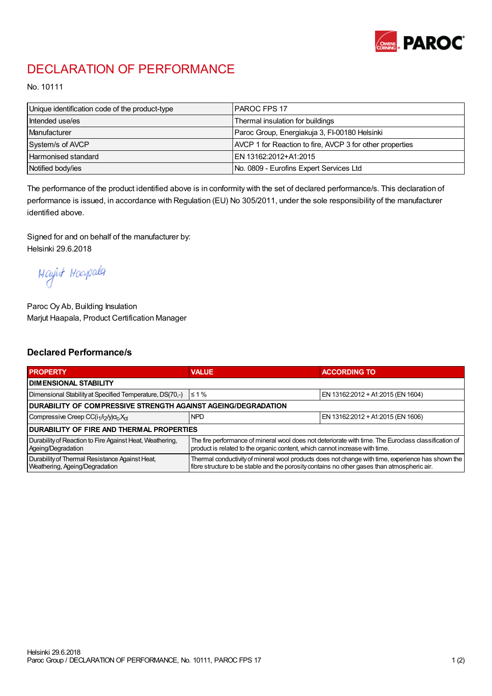

## DECLARATION OF PERFORMANCE

No. 10111

| Unique identification code of the product-type | IPAROC FPS 17                                            |
|------------------------------------------------|----------------------------------------------------------|
| Intended use/es                                | Thermal insulation for buildings                         |
| Manufacturer                                   | Paroc Group, Energiakuja 3, FI-00180 Helsinki            |
| System/s of AVCP                               | AVCP 1 for Reaction to fire, AVCP 3 for other properties |
| <b>Harmonised standard</b>                     | EN 13162:2012+A1:2015                                    |
| Notified body/ies                              | No. 0809 - Eurofins Expert Services Ltd                  |

The performance of the product identified above is in conformity with the set of declared performance/s. This declaration of performance is issued, in accordance with Regulation (EU) No 305/2011, under the sole responsibility of the manufacturer identified above.

Signed for and on behalf of the manufacturer by: Helsinki 29.6.2018

Mayirt Hoapala

Paroc Oy Ab, Building Insulation Marjut Haapala, Product Certification Manager

## Declared Performance/s

| <b>PROPERTY</b>                                                                  | <b>VALUE</b>                                                                                                                                                                                     | <b>ACCORDING TO</b>               |  |
|----------------------------------------------------------------------------------|--------------------------------------------------------------------------------------------------------------------------------------------------------------------------------------------------|-----------------------------------|--|
| <b>I DIMENSIONAL STABILITY</b>                                                   |                                                                                                                                                                                                  |                                   |  |
| Dimensional Stability at Specified Temperature, DS(70,-)                         | $\leq 1\%$                                                                                                                                                                                       | EN 13162:2012 + A1:2015 (EN 1604) |  |
| DURABILITY OF COMPRESSIVE STRENGTH AGAINST AGEING/DEGRADATION                    |                                                                                                                                                                                                  |                                   |  |
| Compressive Creep CC(i <sub>1</sub> /i <sub>2</sub> /y) $\sigma_c X_{ct}$        | <b>NPD</b>                                                                                                                                                                                       | EN 13162:2012 + A1:2015 (EN 1606) |  |
| <b>DURABILITY OF FIRE AND THERMAL PROPERTIES</b>                                 |                                                                                                                                                                                                  |                                   |  |
| Durability of Reaction to Fire Against Heat, Weathering,<br>Ageing/Degradation   | The fire performance of mineral wool does not deteriorate with time. The Euroclass classification of<br>product is related to the organic content, which cannot increase with time.              |                                   |  |
| Durability of Thermal Resistance Against Heat,<br>Weathering, Ageing/Degradation | Thermal conductivity of mineral wool products does not change with time, experience has shown the<br>fibre structure to be stable and the porosity contains no other gases than atmospheric air. |                                   |  |